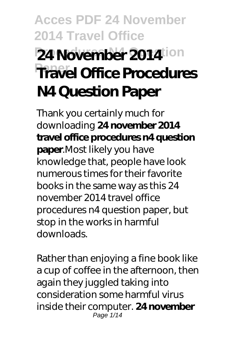# **Acces PDF 24 November 2014 Travel Office 24 November 2014**ion **Travel Office Procedures N4 Question Paper**

Thank you certainly much for downloading **24 november 2014 travel office procedures n4 question paper**.Most likely you have knowledge that, people have look numerous times for their favorite books in the same way as this 24 november 2014 travel office procedures n4 question paper, but stop in the works in harmful downloads.

Rather than enjoying a fine book like a cup of coffee in the afternoon, then again they juggled taking into consideration some harmful virus inside their computer. **24 november** Page 1/14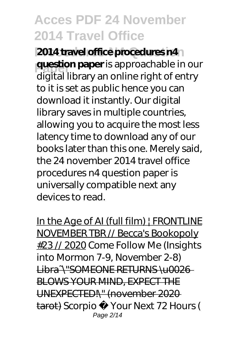**2014 travel office procedures n4 Paper question paper** is approachable in our digital library an online right of entry to it is set as public hence you can download it instantly. Our digital library saves in multiple countries, allowing you to acquire the most less latency time to download any of our books later than this one. Merely said, the 24 november 2014 travel office procedures n4 question paper is universally compatible next any devices to read.

In the Age of AI (full film) | FRONTLINE NOVEMBER TBR // Becca's Bookopoly #23 // 2020 *Come Follow Me (Insights into Mormon 7-9, November 2-8)* Libra~\"SOMEONE RETURNS \u0026 BLOWS YOUR MIND, EXPECT THE UNEXPECTED!\" (november 2020 tarot) *Scorpio ♏ Your Next 72 Hours (* Page 2/14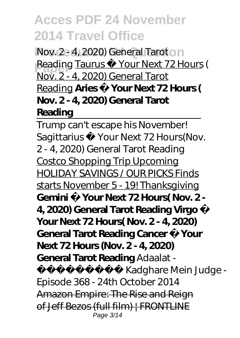*Nov. 2 - 4, 2020) General Taroton Reading* Taurus Your Next 72 Hours ( Nov. 2 - 4, 2020) General Tarot Reading **Aries ♈ Your Next 72 Hours ( Nov. 2 - 4, 2020) General Tarot Reading**

Trump can't escape his November! Sagittarius Your Next 72 Hours(Nov. 2 - 4, 2020) General Tarot Reading Costco Shopping Trip Upcoming HOLIDAY SAVINGS / OUR PICKS Finds starts November 5 - 19! Thanksgiving Gemini Your Next 72 Hours( Nov. 2 -**4, 2020) General Tarot Reading Virgo ♍ Your Next 72 Hours( Nov. 2 - 4, 2020) General Tarot Reading Cancer ♋ Your Next 72 Hours (Nov. 2 - 4, 2020) General Tarot Reading** *Adaalat -*

*अदालत - Kadghare Mein Judge - Episode 368 - 24th October 2014* Amazon Empire: The Rise and Reign of Jeff Bezos (full film) | FRONTLINE Page 3/14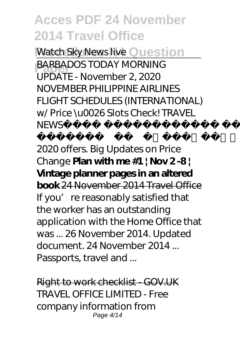**Watch Sky News live Question** 

**BARBADOS TODAY MORNING** UPDATE - November 2, 2020 NOVEMBER PHILIPPINE AIRLINES FLIGHT SCHEDULES (INTERNATIONAL) w/ Price \u0026 Slots Check! TRAVEL NFWS

2020 Vestige November 2020 offers. Big Updates on Price Change **Plan with me #1 | Nov 2 -8 | Vintage planner pages in an altered book** 24 November 2014 Travel Office If you' re reasonably satisfied that the worker has an outstanding application with the Home Office that was ... 26 November 2014. Updated document. 24 November 2014 ... Passports, travel and ...

Right to work checklist - GOV.UK TRAVEL OFFICE LIMITED - Free company information from Page 4/14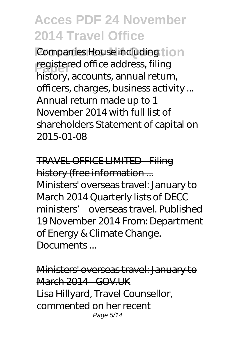Companies House including tion **registered office address, filing** history, accounts, annual return, officers, charges, business activity ... Annual return made up to 1 November 2014 with full list of shareholders Statement of capital on 2015-01-08

TRAVEL OFFICE LIMITED - Filing history (free information ... Ministers' overseas travel: January to March 2014 Quarterly lists of DECC ministers' overseas travel. Published 19 November 2014 From: Department of Energy & Climate Change. Documents...

Ministers' overseas travel: January to March 2014 - GOV UK Lisa Hillyard, Travel Counsellor, commented on her recent Page 5/14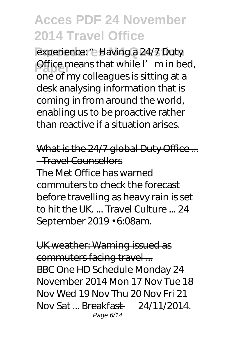experience: "e Having a 24/7 Duty Office means that while I'm in bed,<br> **PRACE** my collecture is sitting at a one of my colleagues is sitting at a desk analysing information that is coming in from around the world, enabling us to be proactive rather than reactive if a situation arises.

What is the 24/7 global Duty Office ... - Travel Counsellors The Met Office has warned commuters to check the forecast before travelling as heavy rain is set to hit the UK. ... Travel Culture ... 24 September 2019 • 6:08am.

UK weather: Warning issued as commuters facing travel ... BBC One HD Schedule Monday 24 November 2014 Mon 17 Nov Tue 18 Nov Wed 19 Nov Thu 20 Nov Fri 21 Nov Sat ... Breakfast — 24/11/2014. Page 6/14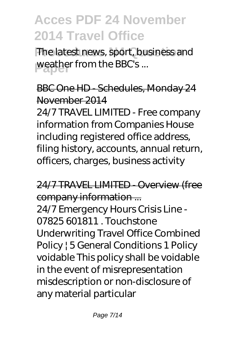The latest news, sport, business and weather from the BBC's...

BBC One HD - Schedules, Monday 24 November 2014

24/7 TRAVEL LIMITED - Free company information from Companies House including registered office address, filing history, accounts, annual return, officers, charges, business activity

24/7 TRAVEL LIMITED - Overview (free company information ... 24/7 Emergency Hours Crisis Line - 07825 601811 . Touchstone Underwriting Travel Office Combined Policy | 5 General Conditions 1 Policy voidable This policy shall be voidable in the event of misrepresentation misdescription or non-disclosure of any material particular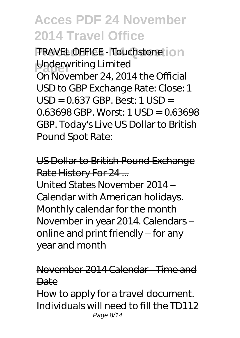**FRAVEL OFFICE - Touchstone:** ion **Underwriting Limited** On November 24, 2014 the Official USD to GBP Exchange Rate: Close: 1  $USD = 0.637$  GBP. Best: 1 USD = 0.63698 GBP. Worst: 1 USD = 0.63698 GBP. Today's Live US Dollar to British Pound Spot Rate:

US Dollar to British Pound Exchange Rate History For 24 ...

United States November 2014 – Calendar with American holidays. Monthly calendar for the month November in year 2014. Calendars – online and print friendly – for any year and month

November 2014 Calendar - Time and **Date** 

How to apply for a travel document. Individuals will need to fill the TD112 Page 8/14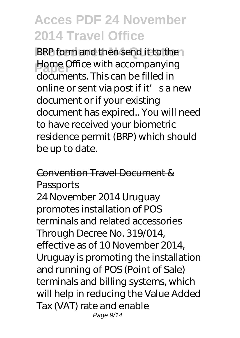**BRP** form and then send it to then **Home Office with accompanying** documents. This can be filled in online or sent via post if it' s a new document or if your existing document has expired.. You will need to have received your biometric residence permit (BRP) which should be up to date.

#### Convention Travel Document & **Passports**

24 November 2014 Uruguay promotes installation of POS terminals and related accessories Through Decree No. 319/014, effective as of 10 November 2014, Uruguay is promoting the installation and running of POS (Point of Sale) terminals and billing systems, which will help in reducing the Value Added Tax (VAT) rate and enable Page 9/14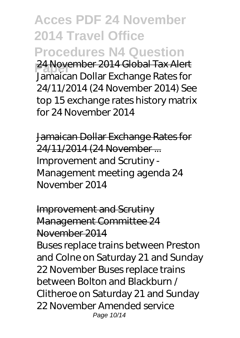**Acces PDF 24 November 2014 Travel Office Procedures N4 Question Paper** 24 November 2014 Global Tax Alert Jamaican Dollar Exchange Rates for 24/11/2014 (24 November 2014) See top 15 exchange rates history matrix for 24 November 2014

Jamaican Dollar Exchange Rates for 24/11/2014 (24 November ... Improvement and Scrutiny - Management meeting agenda 24 November 2014

Improvement and Scrutiny Management Committee 24 November 2014 Buses replace trains between Preston and Colne on Saturday 21 and Sunday 22 November Buses replace trains between Bolton and Blackburn / Clitheroe on Saturday 21 and Sunday 22 November Amended service Page 10/14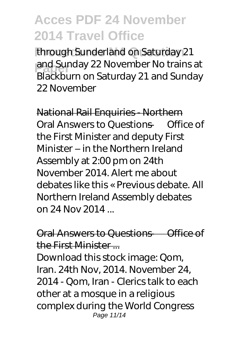through Sunderland on Saturday 21 and Sunday 22 November No trains at Blackburn on Saturday 21 and Sunday 22 November

National Rail Enquiries - Northern Oral Answers to Questions — Office of the First Minister and deputy First Minister – in the Northern Ireland Assembly at 2:00 pm on 24th November 2014. Alert me about debates like this « Previous debate. All Northern Ireland Assembly debates on 24 Nov 2014 ...

Oral Answers to Questions — Office of the First Minister

Download this stock image: Qom, Iran. 24th Nov, 2014. November 24, 2014 - Qom, Iran - Clerics talk to each other at a mosque in a religious complex during the World Congress Page 11/14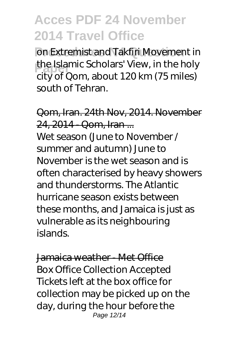on Extremist and Takfiri Movement in **the Islamic Scholars' View, in the holy**<br>
situation shout 120km (75 miles) city of Qom, about 120 km (75 miles) south of Tehran.

Qom, Iran. 24th Nov, 2014. November 24, 2014 - Qom, Iran ...

Wet season (June to November / summer and autumn) June to November is the wet season and is often characterised by heavy showers and thunderstorms. The Atlantic hurricane season exists between these months, and Jamaica is just as vulnerable as its neighbouring islands.

Jamaica weather - Met Office Box Office Collection Accepted Tickets left at the box office for collection may be picked up on the day, during the hour before the Page 12/14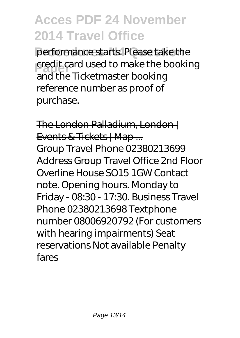performance starts. Please take the **Paper** credit card used to make the booking and the Ticketmaster booking reference number as proof of purchase.

The London Palladium, London | Events & Tickets | Map ... Group Travel Phone 02380213699 Address Group Travel Office 2nd Floor Overline House SO15 1GW Contact note. Opening hours. Monday to Friday - 08:30 - 17:30. Business Travel Phone 02380213698 Textphone number 08006920792 (For customers with hearing impairments) Seat reservations Not available Penalty fares